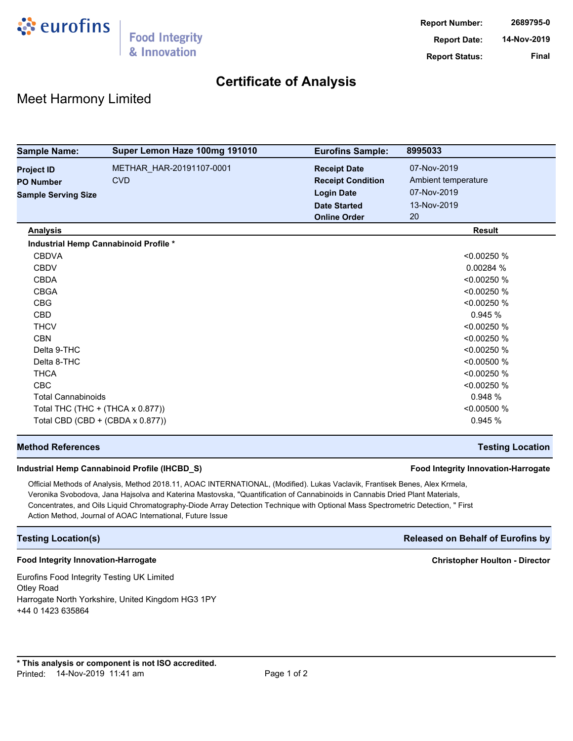

## **Certificate of Analysis**

## Meet Harmony Limited

| <b>Sample Name:</b>        | Super Lemon Haze 100mg 191010           | <b>Eurofins Sample:</b>  | 8995033             |
|----------------------------|-----------------------------------------|--------------------------|---------------------|
| <b>Project ID</b>          | METHAR_HAR-20191107-0001                | <b>Receipt Date</b>      | 07-Nov-2019         |
| <b>PO Number</b>           | <b>CVD</b>                              | <b>Receipt Condition</b> | Ambient temperature |
| <b>Sample Serving Size</b> |                                         | <b>Login Date</b>        | 07-Nov-2019         |
|                            |                                         | <b>Date Started</b>      | 13-Nov-2019         |
|                            |                                         | <b>Online Order</b>      | 20                  |
| <b>Analysis</b>            |                                         |                          | <b>Result</b>       |
|                            | Industrial Hemp Cannabinoid Profile *   |                          |                     |
| <b>CBDVA</b>               |                                         |                          | < 0.00250 %         |
| <b>CBDV</b>                |                                         |                          | 0.00284%            |
| <b>CBDA</b>                |                                         |                          | < 0.00250 %         |
| <b>CBGA</b>                |                                         |                          | < 0.00250 %         |
| <b>CBG</b>                 |                                         |                          | < 0.00250 %         |
| <b>CBD</b>                 |                                         |                          | 0.945%              |
| <b>THCV</b>                |                                         |                          | < 0.00250 %         |
| <b>CBN</b>                 |                                         |                          | < 0.00250 %         |
| Delta 9-THC                |                                         |                          | < 0.00250 %         |
| Delta 8-THC                |                                         |                          | < 0.00500 %         |
| <b>THCA</b>                |                                         |                          | < 0.00250 %         |
| <b>CBC</b>                 |                                         |                          | < 0.00250 %         |
| <b>Total Cannabinoids</b>  |                                         |                          | 0.948 %             |
|                            | Total THC $(THC + (THCA \times 0.877))$ |                          | < 0.00500 %         |
|                            | Total CBD (CBD + (CBDA x 0.877))        |                          | 0.945 %             |

#### **Method References Testing Location**

### **Industrial Hemp Cannabinoid Profile (IHCBD\_S) Food Integrity Innovation-Harrogate**

Official Methods of Analysis, Method 2018.11, AOAC INTERNATIONAL, (Modified). Lukas Vaclavik, Frantisek Benes, Alex Krmela, Veronika Svobodova, Jana Hajsolva and Katerina Mastovska, "Quantification of Cannabinoids in Cannabis Dried Plant Materials, Concentrates, and Oils Liquid Chromatography-Diode Array Detection Technique with Optional Mass Spectrometric Detection, " First Action Method, Journal of AOAC International, Future Issue

### **Testing Location(s) Released on Behalf of Eurofins by**

#### **Food Integrity Innovation-Harrogate Christopher Houlton - Director**

Eurofins Food Integrity Testing UK Limited Otley Road Harrogate North Yorkshire, United Kingdom HG3 1PY +44 0 1423 635864